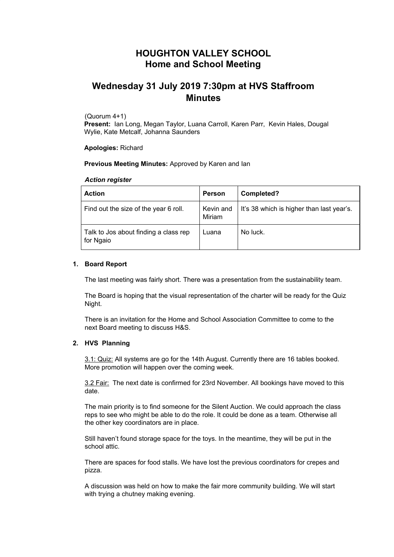# **HOUGHTON VALLEY SCHOOL Home and School Meeting**

# **Wednesday 31 July 2019 7:30pm at HVS Staffroom Minutes**

(Quorum 4+1)

**Present:** Ian Long, Megan Taylor, Luana Carroll, Karen Parr, Kevin Hales, Dougal Wylie, Kate Metcalf, Johanna Saunders

**Apologies:** Richard

## **Previous Meeting Minutes:** Approved by Karen and Ian

## *Action register*

| <b>Action</b>                                      | Person              | Completed?                                |
|----------------------------------------------------|---------------------|-------------------------------------------|
| Find out the size of the year 6 roll.              | Kevin and<br>Miriam | It's 38 which is higher than last year's. |
| Talk to Jos about finding a class rep<br>for Ngaio | Luana               | No luck.                                  |

## **1. Board Report**

The last meeting was fairly short. There was a presentation from the sustainability team.

The Board is hoping that the visual representation of the charter will be ready for the Quiz Night.

There is an invitation for the Home and School Association Committee to come to the next Board meeting to discuss H&S.

## **2. HVS Planning**

3.1: Quiz: All systems are go for the 14th August. Currently there are 16 tables booked. More promotion will happen over the coming week.

3.2 Fair: The next date is confirmed for 23rd November. All bookings have moved to this date.

The main priority is to find someone for the Silent Auction. We could approach the class reps to see who might be able to do the role. It could be done as a team. Otherwise all the other key coordinators are in place.

Still haven't found storage space for the toys. In the meantime, they will be put in the school attic.

There are spaces for food stalls. We have lost the previous coordinators for crepes and pizza.

A discussion was held on how to make the fair more community building. We will start with trying a chutney making evening.